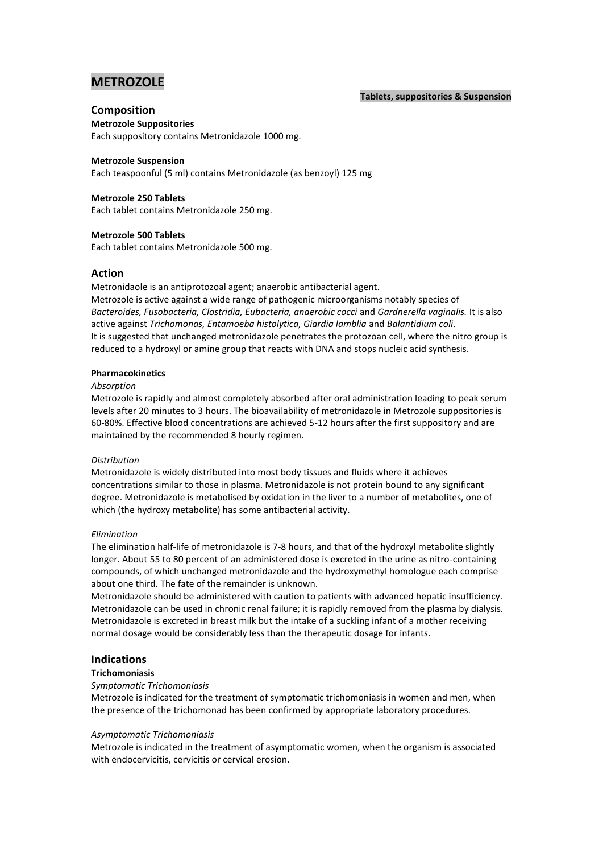# **METROZOLE**

## **Tablets, suppositories & Suspension**

# **Composition**

# **Metrozole Suppositories**

Each suppository contains Metronidazole 1000 mg.

## **Metrozole Suspension**

Each teaspoonful (5 ml) contains Metronidazole (as benzoyl) 125 mg

# **Metrozole 250 Tablets**

Each tablet contains Metronidazole 250 mg.

# **Metrozole 500 Tablets**

Each tablet contains Metronidazole 500 mg.

# **Action**

Metronidaole is an antiprotozoal agent; anaerobic antibacterial agent.

Metrozole is active against a wide range of pathogenic microorganisms notably species of *Bacteroides, Fusobacteria, Clostridia, Eubacteria, anaerobic cocci* and *Gardnerella vaginalis.* It is also active against *Trichomonas, Entamoeba histolytica, Giardia lamblia* and *Balantidium coli*. It is suggested that unchanged metronidazole penetrates the protozoan cell, where the nitro group is reduced to a hydroxyl or amine group that reacts with DNA and stops nucleic acid synthesis.

## **Pharmacokinetics**

## *Absorption*

Metrozole is rapidly and almost completely absorbed after oral administration leading to peak serum levels after 20 minutes to 3 hours. The bioavailability of metronidazole in Metrozole suppositories is 60-80%. Effective blood concentrations are achieved 5-12 hours after the first suppository and are maintained by the recommended 8 hourly regimen.

## *Distribution*

Metronidazole is widely distributed into most body tissues and fluids where it achieves concentrations similar to those in plasma. Metronidazole is not protein bound to any significant degree. Metronidazole is metabolised by oxidation in the liver to a number of metabolites, one of which (the hydroxy metabolite) has some antibacterial activity.

## *Elimination*

The elimination half-life of metronidazole is 7-8 hours, and that of the hydroxyl metabolite slightly longer. About 55 to 80 percent of an administered dose is excreted in the urine as nitro-containing compounds, of which unchanged metronidazole and the hydroxymethyl homologue each comprise about one third. The fate of the remainder is unknown.

Metronidazole should be administered with caution to patients with advanced hepatic insufficiency. Metronidazole can be used in chronic renal failure; it is rapidly removed from the plasma by dialysis. Metronidazole is excreted in breast milk but the intake of a suckling infant of a mother receiving normal dosage would be considerably less than the therapeutic dosage for infants.

# **Indications**

# **Trichomoniasis**

## *Symptomatic Trichomoniasis*

Metrozole is indicated for the treatment of symptomatic trichomoniasis in women and men, when the presence of the trichomonad has been confirmed by appropriate laboratory procedures.

## *Asymptomatic Trichomoniasis*

Metrozole is indicated in the treatment of asymptomatic women, when the organism is associated with endocervicitis, cervicitis or cervical erosion.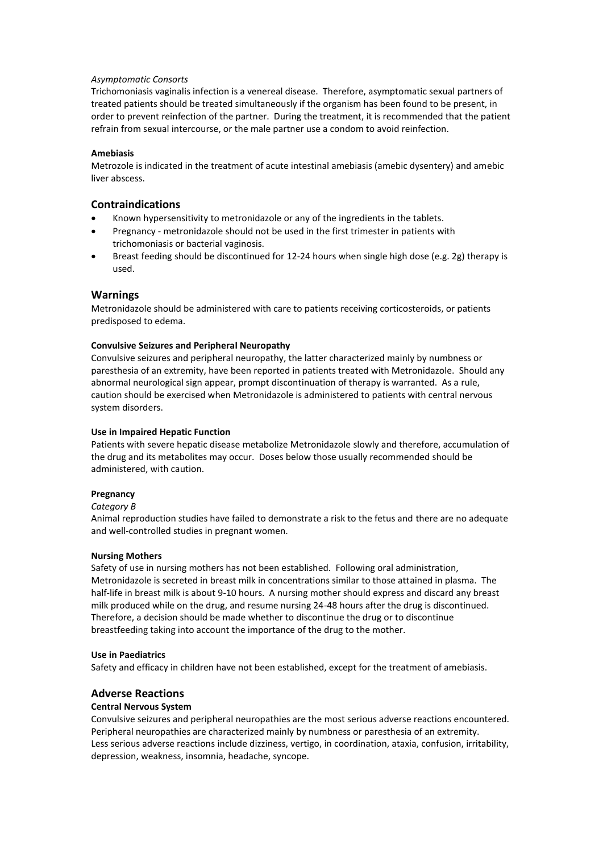## *Asymptomatic Consorts*

Trichomoniasis vaginalis infection is a venereal disease. Therefore, asymptomatic sexual partners of treated patients should be treated simultaneously if the organism has been found to be present, in order to prevent reinfection of the partner. During the treatment, it is recommended that the patient refrain from sexual intercourse, or the male partner use a condom to avoid reinfection.

## **Amebiasis**

Metrozole is indicated in the treatment of acute intestinal amebiasis (amebic dysentery) and amebic liver abscess.

# **Contraindications**

- Known hypersensitivity to metronidazole or any of the ingredients in the tablets.
- Pregnancy metronidazole should not be used in the first trimester in patients with trichomoniasis or bacterial vaginosis.
- Breast feeding should be discontinued for 12-24 hours when single high dose (e.g. 2g) therapy is used.

## **Warnings**

Metronidazole should be administered with care to patients receiving corticosteroids, or patients predisposed to edema.

#### **Convulsive Seizures and Peripheral Neuropathy**

Convulsive seizures and peripheral neuropathy, the latter characterized mainly by numbness or paresthesia of an extremity, have been reported in patients treated with Metronidazole. Should any abnormal neurological sign appear, prompt discontinuation of therapy is warranted. As a rule, caution should be exercised when Metronidazole is administered to patients with central nervous system disorders.

## **Use in Impaired Hepatic Function**

Patients with severe hepatic disease metabolize Metronidazole slowly and therefore, accumulation of the drug and its metabolites may occur. Doses below those usually recommended should be administered, with caution.

#### **Pregnancy**

#### *Category B*

Animal reproduction studies have failed to demonstrate a risk to the fetus and there are no adequate and well-controlled studies in pregnant women.

#### **Nursing Mothers**

Safety of use in nursing mothers has not been established. Following oral administration, Metronidazole is secreted in breast milk in concentrations similar to those attained in plasma. The half-life in breast milk is about 9-10 hours. A nursing mother should express and discard any breast milk produced while on the drug, and resume nursing 24-48 hours after the drug is discontinued. Therefore, a decision should be made whether to discontinue the drug or to discontinue breastfeeding taking into account the importance of the drug to the mother.

## **Use in Paediatrics**

Safety and efficacy in children have not been established, except for the treatment of amebiasis.

# **Adverse Reactions**

## **Central Nervous System**

Convulsive seizures and peripheral neuropathies are the most serious adverse reactions encountered. Peripheral neuropathies are characterized mainly by numbness or paresthesia of an extremity. Less serious adverse reactions include dizziness, vertigo, in coordination, ataxia, confusion, irritability, depression, weakness, insomnia, headache, syncope.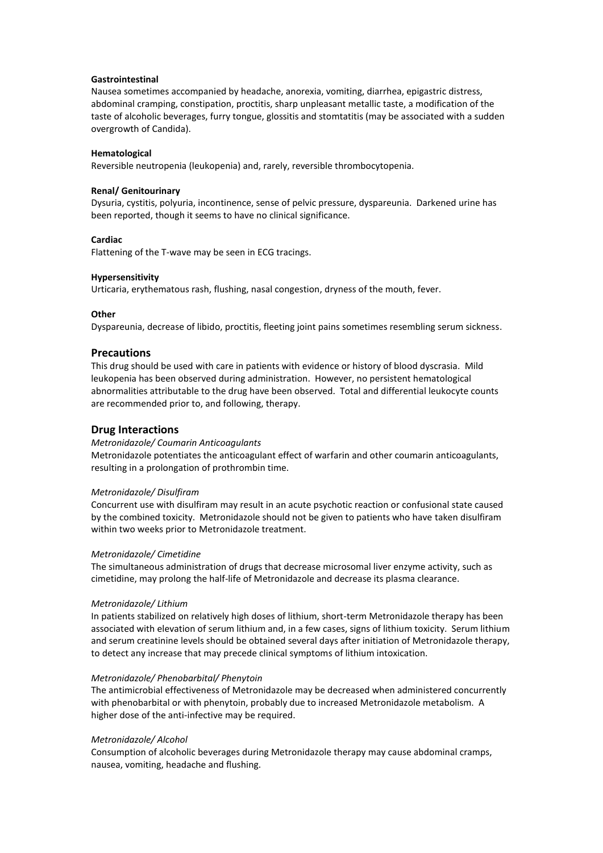#### **Gastrointestinal**

Nausea sometimes accompanied by headache, anorexia, vomiting, diarrhea, epigastric distress, abdominal cramping, constipation, proctitis, sharp unpleasant metallic taste, a modification of the taste of alcoholic beverages, furry tongue, glossitis and stomtatitis (may be associated with a sudden overgrowth of Candida).

#### **Hematological**

Reversible neutropenia (leukopenia) and, rarely, reversible thrombocytopenia.

#### **Renal/ Genitourinary**

Dysuria, cystitis, polyuria, incontinence, sense of pelvic pressure, dyspareunia. Darkened urine has been reported, though it seems to have no clinical significance.

## **Cardiac**

Flattening of the T-wave may be seen in ECG tracings.

#### **Hypersensitivity**

Urticaria, erythematous rash, flushing, nasal congestion, dryness of the mouth, fever.

#### **Other**

Dyspareunia, decrease of libido, proctitis, fleeting joint pains sometimes resembling serum sickness.

## **Precautions**

This drug should be used with care in patients with evidence or history of blood dyscrasia. Mild leukopenia has been observed during administration. However, no persistent hematological abnormalities attributable to the drug have been observed. Total and differential leukocyte counts are recommended prior to, and following, therapy.

## **Drug Interactions**

#### *Metronidazole/ Coumarin Anticoagulants*

Metronidazole potentiates the anticoagulant effect of warfarin and other coumarin anticoagulants, resulting in a prolongation of prothrombin time.

#### *Metronidazole/ Disulfiram*

Concurrent use with disulfiram may result in an acute psychotic reaction or confusional state caused by the combined toxicity. Metronidazole should not be given to patients who have taken disulfiram within two weeks prior to Metronidazole treatment.

#### *Metronidazole/ Cimetidine*

The simultaneous administration of drugs that decrease microsomal liver enzyme activity, such as cimetidine, may prolong the half-life of Metronidazole and decrease its plasma clearance.

#### *Metronidazole/ Lithium*

In patients stabilized on relatively high doses of lithium, short-term Metronidazole therapy has been associated with elevation of serum lithium and, in a few cases, signs of lithium toxicity. Serum lithium and serum creatinine levels should be obtained several days after initiation of Metronidazole therapy, to detect any increase that may precede clinical symptoms of lithium intoxication.

### *Metronidazole/ Phenobarbital/ Phenytoin*

The antimicrobial effectiveness of Metronidazole may be decreased when administered concurrently with phenobarbital or with phenytoin, probably due to increased Metronidazole metabolism. A higher dose of the anti-infective may be required.

#### *Metronidazole/ Alcohol*

Consumption of alcoholic beverages during Metronidazole therapy may cause abdominal cramps, nausea, vomiting, headache and flushing.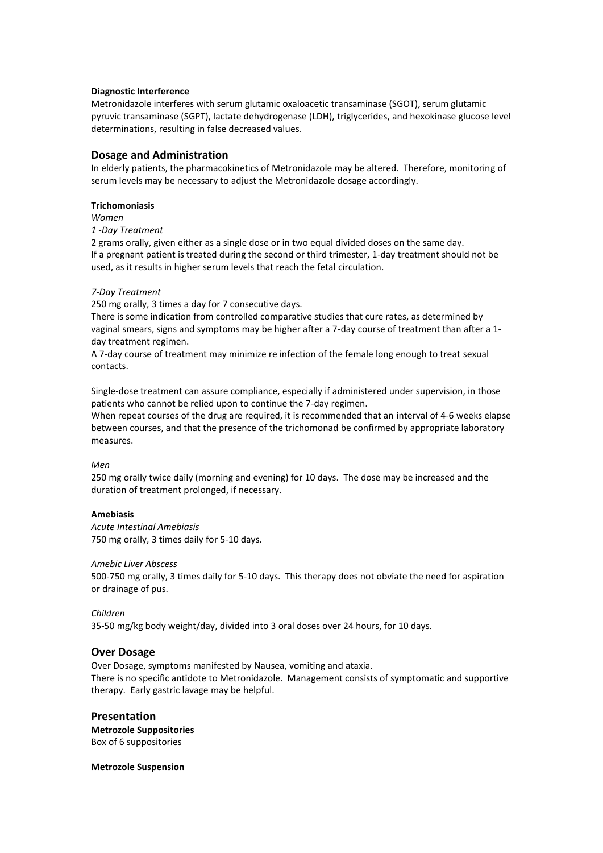## **Diagnostic Interference**

Metronidazole interferes with serum glutamic oxaloacetic transaminase (SGOT), serum glutamic pyruvic transaminase (SGPT), lactate dehydrogenase (LDH), triglycerides, and hexokinase glucose level determinations, resulting in false decreased values.

## **Dosage and Administration**

In elderly patients, the pharmacokinetics of Metronidazole may be altered. Therefore, monitoring of serum levels may be necessary to adjust the Metronidazole dosage accordingly.

#### **Trichomoniasis**

*Women*

*1 -Day Treatment*

2 grams orally, given either as a single dose or in two equal divided doses on the same day. If a pregnant patient is treated during the second or third trimester, 1-day treatment should not be used, as it results in higher serum levels that reach the fetal circulation.

## *7-Day Treatment*

250 mg orally, 3 times a day for 7 consecutive days.

There is some indication from controlled comparative studies that cure rates, as determined by vaginal smears, signs and symptoms may be higher after a 7-day course of treatment than after a 1 day treatment regimen.

A 7-day course of treatment may minimize re infection of the female long enough to treat sexual contacts.

Single-dose treatment can assure compliance, especially if administered under supervision, in those patients who cannot be relied upon to continue the 7-day regimen.

When repeat courses of the drug are required, it is recommended that an interval of 4-6 weeks elapse between courses, and that the presence of the trichomonad be confirmed by appropriate laboratory measures.

## *Men*

250 mg orally twice daily (morning and evening) for 10 days. The dose may be increased and the duration of treatment prolonged, if necessary.

## **Amebiasis**

*Acute Intestinal Amebiasis* 750 mg orally, 3 times daily for 5-10 days.

## *Amebic Liver Abscess*

500-750 mg orally, 3 times daily for 5-10 days. This therapy does not obviate the need for aspiration or drainage of pus.

#### *Children*

35-50 mg/kg body weight/day, divided into 3 oral doses over 24 hours, for 10 days.

## **Over Dosage**

Over Dosage, symptoms manifested by Nausea, vomiting and ataxia. There is no specific antidote to Metronidazole. Management consists of symptomatic and supportive therapy. Early gastric lavage may be helpful.

# **Presentation**

**Metrozole Suppositories** Box of 6 suppositories

#### **Metrozole Suspension**